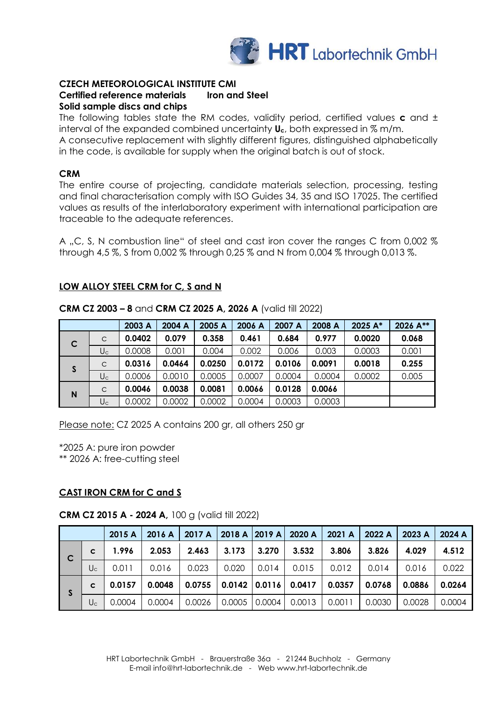

### **CZECH METEOROLOGICAL INSTITUTE CMI Certified reference materials Iron and Steel Solid sample discs and chips**

The following tables state the RM codes, validity period, certified values **c** and ± interval of the expanded combined uncertainty **Uc**, both expressed in % m/m. A consecutive replacement with slightly different figures, distinguished alphabetically

in the code, is available for supply when the original batch is out of stock.

## **CRM**

The entire course of projecting, candidate materials selection, processing, testing and final characterisation comply with ISO Guides 34, 35 and ISO 17025. The certified values as results of the interlaboratory experiment with international participation are traceable to the adequate references.

A "C, S, N combustion line" of steel and cast iron cover the ranges C from 0,002 % through 4,5 %, S from 0,002 % through 0,25 % and N from 0,004 % through 0,013 %.

## **LOW ALLOY STEEL CRM for C, S and N**

|             |              | 2003 A | 2004 A | 2005 A | 2006 A | 2007 A | 2008 A | 2025 A* | 2026 A** |
|-------------|--------------|--------|--------|--------|--------|--------|--------|---------|----------|
| $\mathbf C$ | $\mathsf{C}$ | 0.0402 | 0.079  | 0.358  | 0.461  | 0.684  | 0.977  | 0.0020  | 0.068    |
|             | $U_c$        | 0.0008 | 0.001  | 0.004  | 0.002  | 0.006  | 0.003  | 0.0003  | 0.001    |
| S           | $\mathsf{C}$ | 0.0316 | 0.0464 | 0.0250 | 0.0172 | 0.0106 | 0.0091 | 0.0018  | 0.255    |
|             | $U_c$        | 0.0006 | 0.0010 | 0.0005 | 0.0007 | 0.0004 | 0.0004 | 0.0002  | 0.005    |
| N           | $\mathsf{C}$ | 0.0046 | 0.0038 | 0.0081 | 0.0066 | 0.0128 | 0.0066 |         |          |
|             | $U_c$        | 0.0002 | 0.0002 | 0.0002 | 0.0004 | 0.0003 | 0.0003 |         |          |

**CRM CZ 2003 – 8** and **CRM CZ 2025 A, 2026 A** (valid till 2022)

Please note: CZ 2025 A contains 200 gr, all others 250 gr

\*2025 A: pure iron powder

\*\* 2026 A: free-cutting steel

# **CAST IRON CRM for C and S**

## **CRM CZ 2015 A - 2024 A,** 100 g (valid till 2022)

|              |       | 2015A  | 2016 A | 2017 A |        |        | 2018 A 2019 A 2020 A         | 2021 A | 2022 A | 2023 A | 2024 A |
|--------------|-------|--------|--------|--------|--------|--------|------------------------------|--------|--------|--------|--------|
| $\mathbf{C}$ | C     | 1.996  | 2.053  | 2.463  | 3.173  | 3.270  | 3.532                        | 3.806  | 3.826  | 4.029  | 4.512  |
|              | $U_c$ | 0.011  | 0.016  | 0.023  | 0.020  | 0.014  | 0.015                        | 0.012  | 0.014  | 0.016  | 0.022  |
| S            | C     | 0.0157 | 0.0048 | 0.0755 |        |        | $0.0142$ $  0.0116   0.0417$ | 0.0357 | 0.0768 | 0.0886 | 0.0264 |
|              | $U_c$ | 0.0004 | 0.0004 | 0.0026 | 0.0005 | 0.0004 | 0.0013                       | 0.0011 | 0.0030 | 0.0028 | 0.0004 |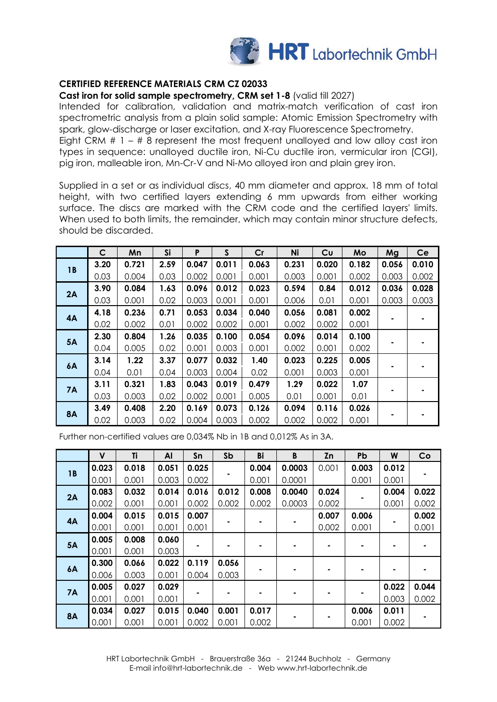

## **CERTIFIED REFERENCE MATERIALS CRM CZ 02033**

**Cast iron for solid sample spectrometry, CRM set 1-8** (valid till 2027)

Intended for calibration, validation and matrix-match verification of cast iron spectrometric analysis from a plain solid sample: Atomic Emission Spectrometry with spark, glow-discharge or laser excitation, and X-ray Fluorescence Spectrometry. Eight CRM  $# 1 - # 8$  represent the most frequent unalloyed and low alloy cast iron types in sequence: unalloyed ductile iron, Ni-Cu ductile iron, vermicular iron (CGI), pig iron, malleable iron, Mn-Cr-V and Ni-Mo alloyed iron and plain grey iron.

Supplied in a set or as individual discs, 40 mm diameter and approx. 18 mm of total height, with two certified layers extending 6 mm upwards from either working surface. The discs are marked with the CRM code and the certified layers' limits. When used to both limits, the remainder, which may contain minor structure defects, should be discarded.

|           | $\mathsf{C}$ | Mn    | <b>Si</b> | P     | S     | Cr    | Ni    | Cu    | Mo    | Mg    | Ce    |
|-----------|--------------|-------|-----------|-------|-------|-------|-------|-------|-------|-------|-------|
| <b>1B</b> | 3.20         | 0.721 | 2.59      | 0.047 | 0.011 | 0.063 | 0.231 | 0.020 | 0.182 | 0.056 | 0.010 |
|           | 0.03         | 0.004 | 0.03      | 0.002 | 0.001 | 0.001 | 0.003 | 0.001 | 0.002 | 0.003 | 0.002 |
| 2A        | 3.90         | 0.084 | 1.63      | 0.096 | 0.012 | 0.023 | 0.594 | 0.84  | 0.012 | 0.036 | 0.028 |
|           | 0.03         | 0.001 | 0.02      | 0.003 | 0.001 | 0.001 | 0.006 | 0.01  | 0.001 | 0.003 | 0.003 |
| 4A        | 4.18         | 0.236 | 0.71      | 0.053 | 0.034 | 0.040 | 0.056 | 0.081 | 0.002 |       |       |
|           | 0.02         | 0.002 | 0.01      | 0.002 | 0.002 | 0.001 | 0.002 | 0.002 | 0.001 |       |       |
| <b>5A</b> | 2.30         | 0.804 | 1.26      | 0.035 | 0.100 | 0.054 | 0.096 | 0.014 | 0.100 |       |       |
|           | 0.04         | 0.005 | 0.02      | 0.001 | 0.003 | 0.001 | 0.002 | 0.001 | 0.002 |       |       |
|           | 3.14         | 1.22  | 3.37      | 0.077 | 0.032 | 1.40  | 0.023 | 0.225 | 0.005 |       |       |
| <b>6A</b> | 0.04         | 0.01  | 0.04      | 0.003 | 0.004 | 0.02  | 0.001 | 0.003 | 0.001 |       |       |
|           | 3.11         | 0.321 | 1.83      | 0.043 | 0.019 | 0.479 | 1.29  | 0.022 | 1.07  |       |       |
| 7A        | 0.03         | 0.003 | 0.02      | 0.002 | 0.001 | 0.005 | 0.01  | 0.001 | 0.01  |       |       |
|           | 3.49         | 0.408 | 2.20      | 0.169 | 0.073 | 0.126 | 0.094 | 0.116 | 0.026 |       |       |
| <b>8A</b> | 0.02         | 0.003 | 0.02      | 0.004 | 0.003 | 0.002 | 0.002 | 0.002 | 0.001 |       |       |

Further non-certified values are 0,034% Nb in 1B and 0,012% As in 3A.

|            | $\mathsf{V}$ | Ti    | AI    | Sn    | Sb    | Bi    | B      | Zn    | Pb    | W     | Co    |
|------------|--------------|-------|-------|-------|-------|-------|--------|-------|-------|-------|-------|
| 1 <b>B</b> | 0.023        | 0.018 | 0.051 | 0.025 |       | 0.004 | 0.0003 | 0.001 | 0.003 | 0.012 |       |
|            | 0.001        | 0.001 | 0.003 | 0.002 |       | 0.001 | 0.0001 |       | 0.001 | 0.001 |       |
|            | 0.083        | 0.032 | 0.014 | 0.016 | 0.012 | 0.008 | 0.0040 | 0.024 |       | 0.004 | 0.022 |
| 2A         | 0.002        | 0.001 | 0.001 | 0.002 | 0.002 | 0.002 | 0.0003 | 0.002 |       | 0.001 | 0.002 |
| 4A         | 0.004        | 0.015 | 0.015 | 0.007 |       |       |        | 0.007 | 0.006 |       | 0.002 |
|            | 0.001        | 0.001 | 0.001 | 0.001 |       |       |        | 0.002 | 0.001 |       | 0.001 |
| <b>5A</b>  | 0.005        | 0.008 | 0.060 |       |       |       |        |       |       |       |       |
|            | 0.001        | 0.001 | 0.003 |       |       |       |        |       |       |       |       |
| 6A         | 0.300        | 0.066 | 0.022 | 0.119 | 0.056 |       |        |       |       |       |       |
|            | 0.006        | 0.003 | 0.001 | 0.004 | 0.003 |       |        |       |       |       |       |
|            | 0.005        | 0.027 | 0.029 |       |       |       |        |       |       | 0.022 | 0.044 |
| 7A         | 0.001        | 0.001 | 0.001 |       | ۰     |       | ۰      |       |       | 0.003 | 0.002 |
| <b>8A</b>  | 0.034        | 0.027 | 0.015 | 0.040 | 0.001 | 0.017 |        |       | 0.006 | 0.011 |       |
|            | 0.001        | 0.001 | 0.001 | 0.002 | 0.001 | 0.002 |        |       | 0.001 | 0.002 |       |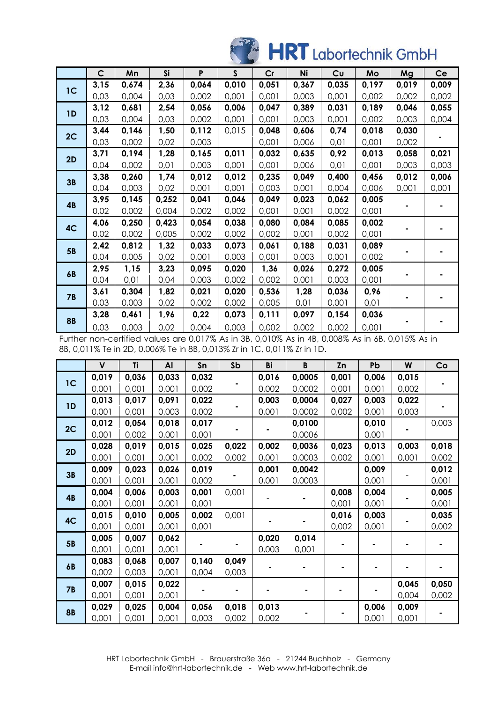# HRT Labortechnik GmbH

| $\mathsf{C}$ | Mn    | Si    | P     | $\mathsf{s}$ | Cr    | Ni    | Cu    | Mo    | Mg    | Ce    |
|--------------|-------|-------|-------|--------------|-------|-------|-------|-------|-------|-------|
| 3,15         | 0,674 | 2,36  | 0,064 | 0,010        | 0,051 | 0,367 | 0,035 | 0,197 | 0,019 | 0,009 |
| 0,03         | 0,004 | 0,03  | 0,002 | 0,001        | 0,001 | 0,003 | 0,001 | 0,002 | 0,002 | 0,002 |
| 3,12         | 0,681 | 2,54  | 0,056 | 0,006        | 0,047 | 0,389 | 0,031 | 0,189 | 0,046 | 0,055 |
| 0,03         | 0,004 | 0,03  | 0,002 | 0,001        | 0,001 | 0,003 | 0,001 | 0,002 | 0,003 | 0,004 |
| 3,44         | 0,146 | 1,50  | 0,112 | 0,015        | 0,048 | 0,606 | 0,74  | 0,018 | 0,030 |       |
| 0,03         | 0,002 | 0,02  | 0,003 |              | 0,001 | 0,006 | 0,01  | 0,001 | 0,002 |       |
| 3,71         | 0,194 | 1,28  | 0,165 | 0,011        | 0,032 | 0,635 | 0,92  | 0,013 | 0,058 | 0,021 |
| 0,04         | 0,002 | 0,01  | 0,003 | 0,001        | 0,001 | 0,006 | 0,01  | 0,001 | 0,003 | 0,003 |
| 3,38         | 0,260 | 1,74  | 0,012 | 0,012        | 0,235 | 0,049 | 0,400 | 0,456 | 0,012 | 0,006 |
| 0,04         | 0,003 | 0,02  | 0,001 | 0,001        | 0,003 | 0,001 | 0,004 | 0,006 | 0,001 | 0,001 |
| 3,95         | 0,145 | 0,252 | 0,041 | 0,046        | 0,049 | 0,023 | 0,062 | 0,005 |       |       |
| 0,02         | 0,002 | 0,004 | 0,002 | 0,002        | 0,001 | 0,001 | 0,002 | 0,001 |       |       |
| 4,06         | 0,250 | 0,423 | 0,054 | 0,038        | 0,080 | 0,084 | 0,085 | 0,002 |       |       |
| 0,02         | 0,002 | 0,005 | 0,002 | 0,002        | 0,002 | 0,001 | 0,002 | 0,001 |       |       |
| 2,42         | 0,812 | 1,32  | 0,033 | 0,073        | 0,061 | 0,188 | 0,031 | 0,089 |       |       |
| 0,04         | 0,005 | 0,02  | 0,001 | 0,003        | 0,001 | 0,003 | 0,001 | 0,002 |       |       |
| 2,95         | 1,15  | 3,23  | 0,095 | 0,020        | 1,36  | 0,026 | 0,272 | 0,005 |       |       |
| 0,04         | 0,01  | 0,04  | 0,003 | 0,002        | 0,002 | 0,001 | 0,003 | 0,001 |       |       |
| 3,61         | 0,304 | 1,82  | 0,021 | 0,020        | 0,536 | 1,28  | 0,036 | 0,96  |       |       |
| 0,03         | 0,003 | 0,02  | 0,002 | 0,002        | 0,005 | 0,01  | 0,001 | 0,01  |       |       |
| 3,28         | 0,461 | 1,96  | 0,22  | 0,073        | 0,111 | 0,097 | 0,154 | 0,036 |       |       |
| 0,03         | 0,003 | 0,02  | 0,004 | 0,003        | 0,002 | 0,002 | 0,002 | 0,001 |       |       |
|              |       |       |       |              |       |       |       |       |       |       |

Further non-certified values are 0,017% As in 3B, 0,010% As in 4B, 0,008% As in 6B, 0,015% As in 8B, 0,011% Te in 2D, 0,006% Te in 8B, 0,013% Zr in 1C, 0,011% Zr in 1D.

|                | $\mathsf{V}$ | Ti    | Al    | Sn    | Sb    | Bi    | $\, {\bf B}$ | Zn    | Pb    | W     | Co    |
|----------------|--------------|-------|-------|-------|-------|-------|--------------|-------|-------|-------|-------|
| 1 <sup>C</sup> | 0,019        | 0,036 | 0,033 | 0,032 |       | 0,016 | 0,0005       | 0,001 | 0,006 | 0,015 |       |
|                | 0,001        | 0,001 | 0,001 | 0,002 |       | 0,002 | 0,0002       | 0,001 | 0,001 | 0,002 |       |
| 1D             | 0,013        | 0,017 | 0,091 | 0,022 |       | 0,003 | 0,0004       | 0,027 | 0,003 | 0,022 |       |
|                | 0,001        | 0,001 | 0,003 | 0,002 |       | 0,001 | 0,0002       | 0,002 | 0,001 | 0,003 |       |
| 2C             | 0,012        | 0,054 | 0,018 | 0,017 |       |       | 0,0100       |       | 0,010 |       | 0,003 |
|                | 0,001        | 0,002 | 0,001 | 0,001 |       |       | 0,0006       |       | 0,001 |       |       |
| 2D             | 0,028        | 0,019 | 0,015 | 0,025 | 0,022 | 0,002 | 0,0036       | 0,023 | 0,013 | 0,003 | 0,018 |
|                | 0,001        | 0,001 | 0,001 | 0,002 | 0,002 | 0,001 | 0,0003       | 0,002 | 0,001 | 0,001 | 0,002 |
| 3B             | 0,009        | 0,023 | 0,026 | 0,019 |       | 0,001 | 0,0042       |       | 0,009 |       | 0,012 |
|                | 0,001        | 0,001 | 0,001 | 0,002 |       | 0,001 | 0,0003       |       | 0,001 |       | 0,001 |
| <b>4B</b>      | 0,004        | 0,006 | 0,003 | 0,001 | 0,001 |       |              | 0,008 | 0,004 |       | 0,005 |
|                | 0,001        | 0,001 | 0,001 | 0,001 |       |       |              | 0,001 | 0,001 |       | 0,001 |
| 4C             | 0,015        | 0,010 | 0,005 | 0,002 | 0,001 |       |              | 0,016 | 0,003 |       | 0,035 |
|                | 0,001        | 0,001 | 0,001 | 0,001 |       |       |              | 0,002 | 0,001 |       | 0,002 |
| <b>5B</b>      | 0,005        | 0,007 | 0,062 |       |       | 0,020 | 0,014        |       |       |       |       |
|                | 0,001        | 0,001 | 0,001 |       |       | 0,003 | 0,001        |       |       |       |       |
| 6B             | 0,083        | 0,068 | 0,007 | 0,140 | 0,049 |       |              |       |       |       |       |
|                | 0,002        | 0,003 | 0,001 | 0,004 | 0,003 |       |              |       |       |       |       |
| <b>7B</b>      | 0,007        | 0,015 | 0,022 |       |       |       |              |       |       | 0,045 | 0,050 |
|                | 0,001        | 0,001 | 0,001 |       |       |       |              |       |       | 0,004 | 0,002 |
| <b>8B</b>      | 0,029        | 0,025 | 0,004 | 0,056 | 0,018 | 0,013 |              |       | 0,006 | 0,009 |       |
|                | 0,001        | 0,001 | 0,001 | 0,003 | 0,002 | 0,002 |              |       | 0,001 | 0,001 |       |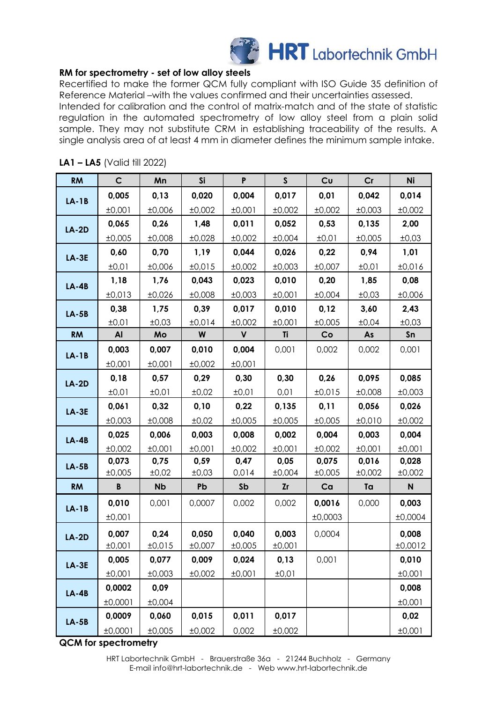

## **RM for spectrometry - set of low alloy steels**

Recertified to make the former QCM fully compliant with ISO Guide 35 definition of Reference Material –with the values confirmed and their uncertainties assessed.

Intended for calibration and the control of matrix-match and of the state of statistic regulation in the automated spectrometry of low alloy steel from a plain solid sample. They may not substitute CRM in establishing traceability of the results. A single analysis area of at least 4 mm in diameter defines the minimum sample intake.

| <b>RM</b>    | $\mathsf{C}$ | Mn        | <b>Si</b> | P            | $\mathsf{S}$ | Cu      | Cr     | Ni      |
|--------------|--------------|-----------|-----------|--------------|--------------|---------|--------|---------|
| $LA-1B$      | 0,005        | 0,13      | 0,020     | 0,004        | 0,017        | 0,01    | 0,042  | 0,014   |
|              | ±0,001       | ±0,006    | ±0,002    | ±0,001       | ±0,002       | ±0,002  | ±0,003 | ±0,002  |
| $LA-2D$      | 0,065        | 0,26      | 1,48      | 0,011        | 0,052        | 0,53    | 0,135  | 2,00    |
|              | ±0,005       | ±0,008    | ±0,028    | ±0,002       | ±0,004       | ±0,01   | ±0,005 | ±0,03   |
| <b>LA-3E</b> | 0,60         | 0,70      | 1,19      | 0,044        | 0,026        | 0,22    | 0,94   | 1,01    |
|              | ±0,01        | ±0,006    | ±0,015    | ±0,002       | ±0,003       | ±0,007  | ±0,01  | ±0,016  |
| $LA-4B$      | 1,18         | 1,76      | 0,043     | 0,023        | 0,010        | 0,20    | 1,85   | 0,08    |
|              | ±0,013       | ±0,026    | ±0,008    | ±0,003       | ±0,001       | ±0,004  | ±0,03  | ±0,006  |
| $LA-5B$      | 0,38         | 1,75      | 0,39      | 0,017        | 0,010        | 0,12    | 3,60   | 2,43    |
|              | ±0,01        | ±0,03     | ±0,014    | ±0,002       | ±0,001       | ±0,005  | ±0,04  | ±0,03   |
| <b>RM</b>    | Al           | Mo        | W         | $\mathsf{V}$ | Ti           | Co      | As     | Sn      |
| $LA-1B$      | 0,003        | 0,007     | 0,010     | 0,004        | 0,001        | 0,002   | 0,002  | 0,001   |
|              | ±0,001       | ±0,001    | ±0,002    | ±0,001       |              |         |        |         |
| $LA-2D$      | 0,18         | 0,57      | 0,29      | 0,30         | 0,30         | 0,26    | 0,095  | 0,085   |
|              | ±0,01        | ±0,01     | ±0,02     | ±0,01        | 0,01         | ±0,015  | ±0,008 | ±0,003  |
| $LA-3E$      | 0,061        | 0,32      | 0,10      | 0,22         | 0,135        | 0,11    | 0,056  | 0,026   |
|              | ±0,003       | ±0,008    | ±0,02     | ±0,005       | ±0,005       | ±0,005  | ±0,010 | ±0,002  |
| $LA-4B$      | 0,025        | 0,006     | 0,003     | 0,008        | 0,002        | 0,004   | 0,003  | 0,004   |
|              | ±0,002       | ±0,001    | ±0,001    | ±0,002       | ±0,001       | ±0,002  | ±0,001 | ±0,001  |
| $LA-5B$      | 0,073        | 0,75      | 0,59      | 0,47         | 0,05         | 0,075   | 0,016  | 0,028   |
|              | ±0,005       | ±0,02     | ±0,03     | 0,014        | ±0,004       | ±0,005  | ±0,002 | ±0,002  |
| <b>RM</b>    | B            | <b>Nb</b> | Pb        | Sb           | <b>Zr</b>    | Ca      | Ta     | N       |
| $LA-1B$      | 0,010        | 0,001     | 0,0007    | 0,002        | 0,002        | 0,0016  | 0,000  | 0,003   |
|              | ±0,001       |           |           |              |              | ±0,0003 |        | ±0,0004 |
| $LA-2D$      | 0,007        | 0,24      | 0,050     | 0,040        | 0,003        | 0,0004  |        | 0,008   |
|              | ±0,001       | ±0,015    | ±0,007    | ±0,005       | ±0,001       |         |        | ±0,0012 |
| $LA-3E$      | 0,005        | 0,077     | 0,009     | 0,024        | 0, 13        | 0,001   |        | 0,010   |
|              | ±0,001       | ±0,003    | ±0,002    | ±0,001       | ±0,01        |         |        | ±0,001  |
| $LA-4B$      | 0,0002       | 0,09      |           |              |              |         |        | 0,008   |
|              | ±0,0001      | ±0,004    |           |              |              |         |        | ±0,001  |
| $LA-5B$      | 0,0009       | 0,060     | 0,015     | 0,011        | 0,017        |         |        | 0,02    |
|              | ±0,0001      | ±0,005    | ±0,002    | 0,002        | ±0,002       |         |        | ±0,001  |

## **LA1 – LA5** (Valid till 2022)

**QCM for spectrometry**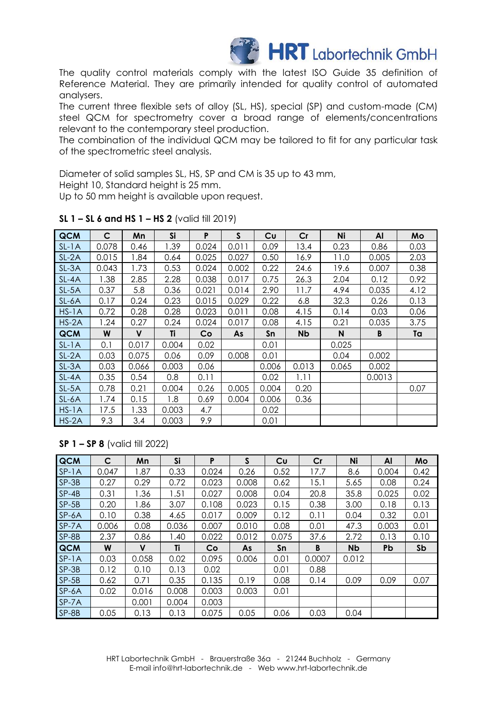

The quality control materials comply with the latest ISO Guide 35 definition of Reference Material. They are primarily intended for quality control of automated analysers.

The current three flexible sets of alloy (SL, HS), special (SP) and custom-made (CM) steel QCM for spectrometry cover a broad range of elements/concentrations relevant to the contemporary steel production.

The combination of the individual QCM may be tailored to fit for any particular task of the spectrometric steel analysis.

Diameter of solid samples SL, HS, SP and CM is 35 up to 43 mm,

Height 10, Standard height is 25 mm.

Up to 50 mm height is available upon request.

| <b>QCM</b> | C     | Mn           | Si    | P     | $\mathsf{S}$ | Cu        | Cr        | Ni          | Al     | Mo   |
|------------|-------|--------------|-------|-------|--------------|-----------|-----------|-------------|--------|------|
| $SL-1A$    | 0.078 | 0.46         | 1.39  | 0.024 | 0.011        | 0.09      | 13.4      | 0.23        | 0.86   | 0.03 |
| $SL-2A$    | 0.015 | 1.84         | 0.64  | 0.025 | 0.027        | 0.50      | 16.9      | 11.0        | 0.005  | 2.03 |
| $SL-3A$    | 0.043 | 1.73         | 0.53  | 0.024 | 0.002        | 0.22      | 24.6      | 19.6        | 0.007  | 0.38 |
| SL-4A      | 1.38  | 2.85         | 2.28  | 0.038 | 0.017        | 0.75      | 26.3      | 2.04        | 0.12   | 0.92 |
| $SL-5A$    | 0.37  | 5.8          | 0.36  | 0.021 | 0.014        | 2.90      | 11.7      | 4.94        | 0.035  | 4.12 |
| SL-6A      | 0.17  | 0.24         | 0.23  | 0.015 | 0.029        | 0.22      | 6.8       | 32.3        | 0.26   | 0.13 |
| $HS-1A$    | 0.72  | 0.28         | 0.28  | 0.023 | 0.011        | 0.08      | 4.15      | 0.14        | 0.03   | 0.06 |
| $HS-2A$    | 1.24  | 0.27         | 0.24  | 0.024 | 0.017        | 0.08      | 4.15      | 0.21        | 0.035  | 3.75 |
|            |       |              |       |       |              |           |           |             |        |      |
| QCM        | W     | $\mathbf{V}$ | Ti    | Co    | As           | <b>Sn</b> | <b>Nb</b> | $\mathbf N$ | B      | Ta   |
| $SL-1A$    | 0.1   | 0.017        | 0.004 | 0.02  |              | 0.01      |           | 0.025       |        |      |
| $SL-2A$    | 0.03  | 0.075        | 0.06  | 0.09  | 0.008        | 0.01      |           | 0.04        | 0.002  |      |
| $SL-3A$    | 0.03  | 0.066        | 0.003 | 0.06  |              | 0.006     | 0.013     | 0.065       | 0.002  |      |
| SL-4A      | 0.35  | 0.54         | 0.8   | 0.11  |              | 0.02      | 1.11      |             | 0.0013 |      |
| $SL-5A$    | 0.78  | 0.21         | 0.004 | 0.26  | 0.005        | 0.004     | 0.20      |             |        | 0.07 |
| $SL-6A$    | 1.74  | 0.15         | 1.8   | 0.69  | 0.004        | 0.006     | 0.36      |             |        |      |
| $HS-1A$    | 17.5  | 1.33         | 0.003 | 4.7   |              | 0.02      |           |             |        |      |

#### **SL 1 – SL 6 and HS 1 – HS 2** (valid till 2019)

# **SP 1 – SP 8** (valid till 2022)

| <b>QCM</b> | C     | Mn    | Si    | P     | S     | Cu    | Cr     | Ni        | AI    | Mo   |
|------------|-------|-------|-------|-------|-------|-------|--------|-----------|-------|------|
| $SP-1A$    | 0.047 | 1.87  | 0.33  | 0.024 | 0.26  | 0.52  | 17.7   | 8.6       | 0.004 | 0.42 |
| $SP-3B$    | 0.27  | 0.29  | 0.72  | 0.023 | 0.008 | 0.62  | 15.1   | 5.65      | 0.08  | 0.24 |
| $SP-4B$    | 0.31  | 1.36  | 1.51  | 0.027 | 0.008 | 0.04  | 20.8   | 35.8      | 0.025 | 0.02 |
| $SP-5B$    | 0.20  | 1.86  | 3.07  | 0.108 | 0.023 | 0.15  | 0.38   | 3.00      | 0.18  | 0.13 |
| SP-6A      | 0.10  | 0.38  | 4.65  | 0.017 | 0.009 | 0.12  | 0.11   | 0.04      | 0.32  | 0.01 |
| SP-7A      | 0.006 | 0.08  | 0.036 | 0.007 | 0.010 | 0.08  | 0.01   | 47.3      | 0.003 | 0.01 |
| SP-8B      | 2.37  | 0.86  | 1.40  | 0.022 | 0.012 | 0.075 | 37.6   | 2.72      | 0.13  | 0.10 |
| <b>QCM</b> | W     | V     | Ti    | Co    | As    | Sn    | B      | <b>Nb</b> | Pb    | Sb   |
| $SP-1A$    | 0.03  | 0.058 | 0.02  | 0.095 | 0.006 | 0.01  | 0.0007 | 0.012     |       |      |
| $SP-3B$    | 0.12  | 0.10  | 0.13  | 0.02  |       | 0.01  | 0.88   |           |       |      |
| $SP-5B$    | 0.62  | 0.71  | 0.35  | 0.135 | 0.19  | 0.08  | 0.14   | 0.09      | 0.09  | 0.07 |
| $SP-6A$    | 0.02  | 0.016 | 0.008 | 0.003 | 0.003 | 0.01  |        |           |       |      |
| SP-7A      |       | 0.001 | 0.004 | 0.003 |       |       |        |           |       |      |
| SP-8B      | 0.05  | 0.13  | 0.13  | 0.075 | 0.05  | 0.06  | 0.03   | 0.04      |       |      |